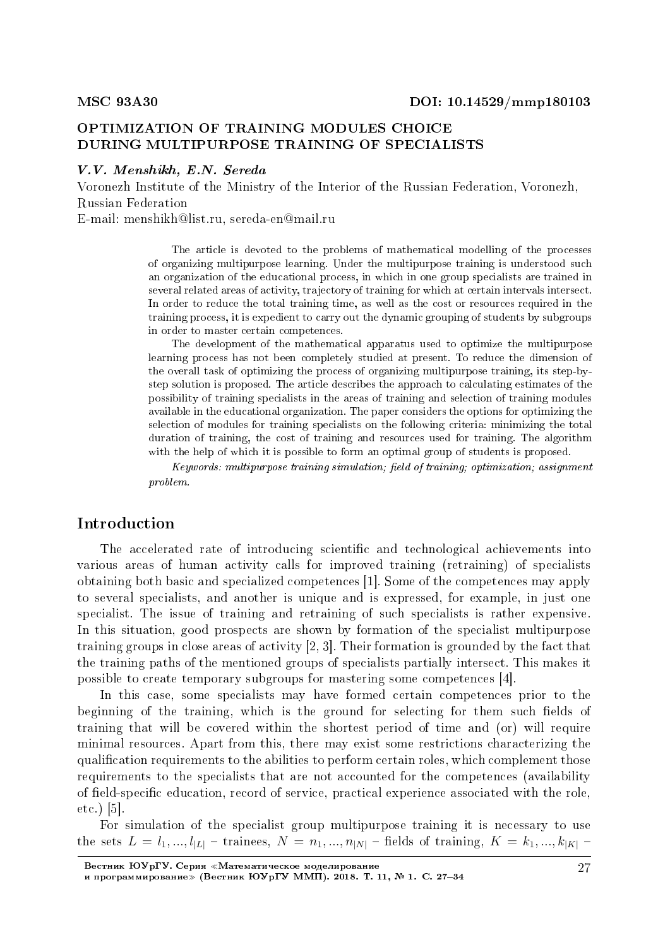# OPTIMIZATION OF TRAINING MODULES CHOICE DURING MULTIPURPOSE TRAINING OF SPECIALISTS

#### V.V. Menshikh, E.N. Sereda

Voronezh Institute of the Ministry of the Interior of the Russian Federation, Voronezh, Russian Federation

E-mail: menshikh@list.ru, sereda-en@mail.ru

The article is devoted to the problems of mathematical modelling of the processes of organizing multipurpose learning. Under the multipurpose training is understood such an organization of the educational process, in which in one group specialists are trained in several related areas of activity, trajectory of training for which at certain intervals intersect. In order to reduce the total training time, as well as the cost or resources required in the training process, it is expedient to carry out the dynamic grouping of students by subgroups in order to master certain competences.

The development of the mathematical apparatus used to optimize the multipurpose learning process has not been completely studied at present. To reduce the dimension of the overall task of optimizing the process of organizing multipurpose training, its step-bystep solution is proposed. The article describes the approach to calculating estimates of the possibility of training specialists in the areas of training and selection of training modules available in the educational organization. The paper considers the options for optimizing the selection of modules for training specialists on the following criteria: minimizing the total duration of training, the cost of training and resources used for training. The algorithm with the help of which it is possible to form an optimal group of students is proposed.

 $Keywords:$  multipurpose training simulation; field of training; optimization; assignment problem.

# Introduction

The accelerated rate of introducing scientific and technological achievements into various areas of human activity calls for improved training (retraining) of specialists obtaining both basic and specialized competences [1]. Some of the competences may apply to several specialists, and another is unique and is expressed, for example, in just one specialist. The issue of training and retraining of such specialists is rather expensive. In this situation, good prospects are shown by formation of the specialist multipurpose training groups in close areas of activity [2, 3]. Their formation is grounded by the fact that the training paths of the mentioned groups of specialists partially intersect. This makes it possible to create temporary subgroups for mastering some competences [4].

In this case, some specialists may have formed certain competences prior to the beginning of the training, which is the ground for selecting for them such fields of training that will be covered within the shortest period of time and (or) will require minimal resources. Apart from this, there may exist some restrictions characterizing the qualication requirements to the abilities to perform certain roles, which complement those requirements to the specialists that are not accounted for the competences (availability of field-specific education, record of service, practical experience associated with the role, etc.) [5].

For simulation of the specialist group multipurpose training it is necessary to use the sets  $L = l_1, ..., l_{|L|}$  – trainees,  $N = n_1, ..., n_{|N|}$  – fields of training,  $K = k_1, ..., k_{|K|}$  –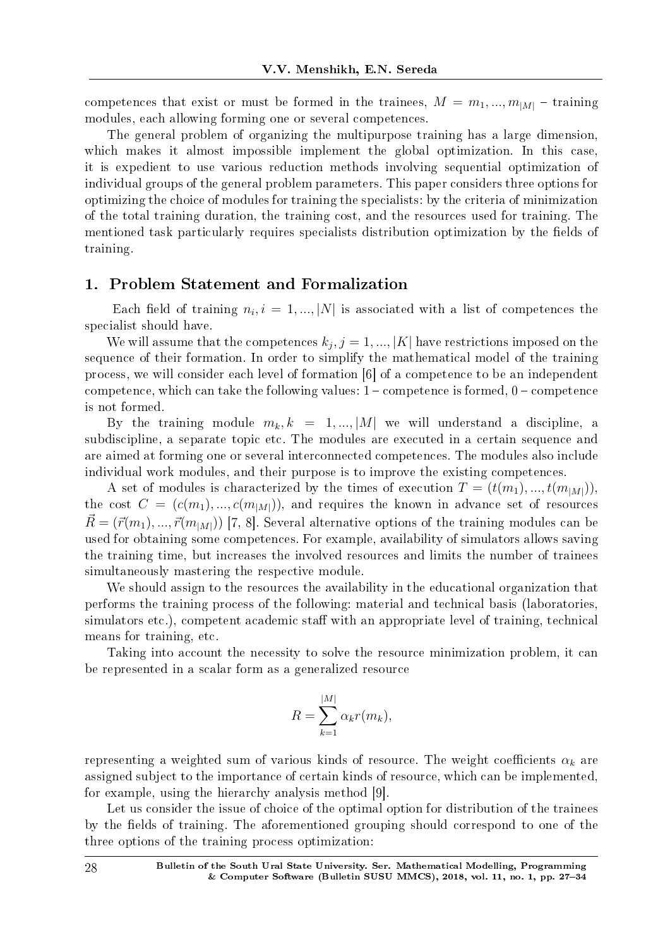competences that exist or must be formed in the trainees,  $M = m_1, ..., m_{|M|}$  – training modules, each allowing forming one or several competences.

The general problem of organizing the multipurpose training has a large dimension, which makes it almost impossible implement the global optimization. In this case, it is expedient to use various reduction methods involving sequential optimization of individual groups of the general problem parameters. This paper considers three options for optimizing the choice of modules for training the specialists: by the criteria of minimization of the total training duration, the training cost, and the resources used for training. The mentioned task particularly requires specialists distribution optimization by the fields of training.

### 1. Problem Statement and Formalization

Each field of training  $n_i$ ,  $i = 1, ..., |N|$  is associated with a list of competences the specialist should have.

We will assume that the competences  $k_j$ ,  $j = 1, ..., |K|$  have restrictions imposed on the sequence of their formation. In order to simplify the mathematical model of the training process, we will consider each level of formation [6] of a competence to be an independent competence, which can take the following values:  $1$  – competence is formed,  $0$  – competence is not formed.

By the training module  $m_k, k = 1, ..., |M|$  we will understand a discipline, a subdiscipline, a separate topic etc. The modules are executed in a certain sequence and are aimed at forming one or several interconnected competences. The modules also include individual work modules, and their purpose is to improve the existing competences.

A set of modules is characterized by the times of execution  $T = (t(m_1), ..., t(m_M))$ , the cost  $C = (c(m_1), ..., c(m_{|M|}))$ , and requires the known in advance set of resources  $\vec{R} = (\vec{r}(m_1), ..., \vec{r}(m_M))$  [7, 8]. Several alternative options of the training modules can be used for obtaining some competences. For example, availability of simulators allows saving the training time, but increases the involved resources and limits the number of trainees simultaneously mastering the respective module.

We should assign to the resources the availability in the educational organization that performs the training process of the following: material and technical basis (laboratories, simulators etc.), competent academic staff with an appropriate level of training, technical means for training, etc.

Taking into account the necessity to solve the resource minimization problem, it can be represented in a scalar form as a generalized resource

$$
R = \sum_{k=1}^{|M|} \alpha_k r(m_k),
$$

representing a weighted sum of various kinds of resource. The weight coefficients  $\alpha_k$  are assigned subject to the importance of certain kinds of resource, which can be implemented, for example, using the hierarchy analysis method [9].

Let us consider the issue of choice of the optimal option for distribution of the trainees by the fields of training. The aforementioned grouping should correspond to one of the three options of the training process optimization: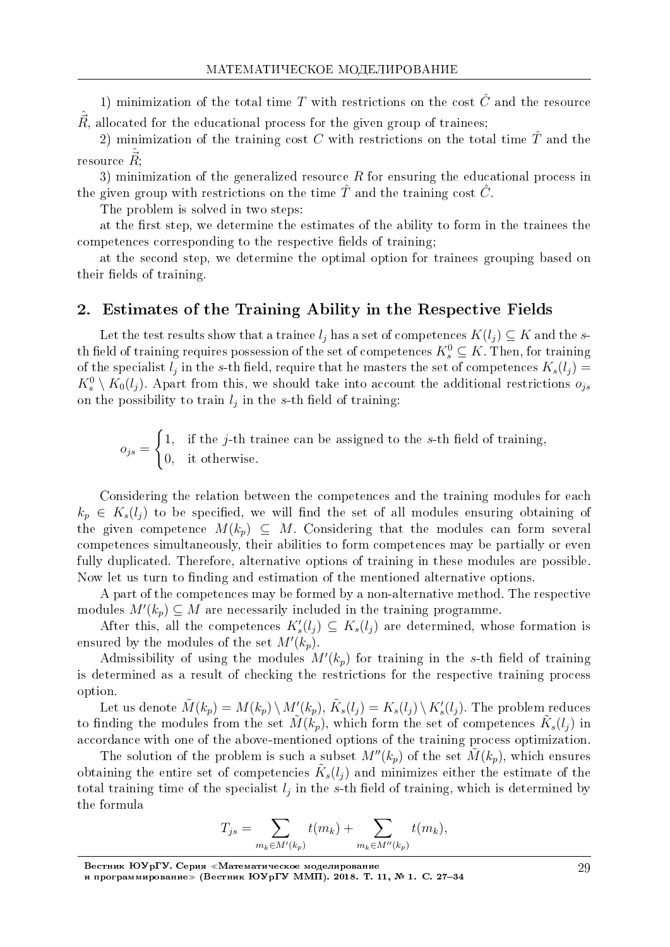1) minimization of the total time  $T$  with restrictions on the cost  $\hat{C}$  and the resource  $\vec{R}$ , allocated for the educational process for the given group of trainees;

2) minimization of the training cost  $C$  with restrictions on the total time  $\hat{T}$  and the  $\hat{R}$ ;

3) minimization of the generalized resource *R* for ensuring the educational process in the given group with restrictions on the time  $\hat{T}$  and the training cost  $\hat{C}$ .

The problem is solved in two steps:

at the first step, we determine the estimates of the ability to form in the trainees the competences corresponding to the respective fields of training;

at the second step, we determine the optimal option for trainees grouping based on their fields of training.

# 2. Estimates of the Training Ability in the Respective Fields

Let the test results show that a trainee  $l_j$  has a set of competences  $K(l_j) \subseteq K$  and the *s*th field of training requires possession of the set of competences  $K_s^0 \subseteq K$ . Then, for training of the specialist  $l_j$  in the *s*-th field, require that he masters the set of competences  $K_s(l_j)$  $K_s^0 \setminus K_0(l_j)$ . Apart from this, we should take into account the additional restrictions  $o_{js}$ on the possibility to train  $l_j$  in the *s*-th field of training:

$$
o_{js} = \begin{cases} 1, & \text{if the } j\text{-th triangle can be assigned to the } s\text{-th field of training,} \\ 0, & \text{it otherwise.} \end{cases}
$$

Considering the relation between the competences and the training modules for each  $k_p \in K_s(l_i)$  to be specified, we will find the set of all modules ensuring obtaining of the given competence  $M(k_p) \subseteq M$ . Considering that the modules can form several competences simultaneously, their abilities to form competences may be partially or even fully duplicated. Therefore, alternative options of training in these modules are possible. Now let us turn to finding and estimation of the mentioned alternative options.

A part of the competences may be formed by a non-alternative method. The respective modules  $M'(k_p) \subseteq M$  are necessarily included in the training programme.

After this, all the competences  $K'_{s}(l_j) \subseteq K_{s}(l_j)$  are determined, whose formation is ensured by the modules of the set  $M'(k_p)$ .

Admissibility of using the modules  $M'(k_p)$  for training in the *s*-th field of training is determined as a result of checking the restrictions for the respective training process option.

Let us denote  $\tilde{M}(k_p)=M(k_p)\,\backslash\,M_{\prec}'(k_p),$   $\tilde{K}_s(l_j)=K_s(l_j)\,\backslash\,K_s'(l_j).$  The problem reduces to finding the modules from the set  $\tilde{M}(k_p)$ , which form the set of competences  $\tilde{K}_s(l_j)$  in accordance with one of the above-mentioned options of the training process optimization.

The solution of the problem is such a subset  $M''(k_p)$  of the set  $M(k_p)$ , which ensures obtaining the entire set of competencies  $\tilde{K}_s(l_j)$  and minimizes either the estimate of the total training time of the specialist  $l_j$  in the *s*-th field of training, which is determined by the formula

$$
T_{js} = \sum_{m_k \in M'(k_p)} t(m_k) + \sum_{m_k \in M''(k_p)} t(m_k),
$$

Вестник ЮУрГУ. Серия «Математическое моделирование

и программирование≫ (Вестник ЮУрГУ ММП). 2018. Т. 11, № 1. C. 27–34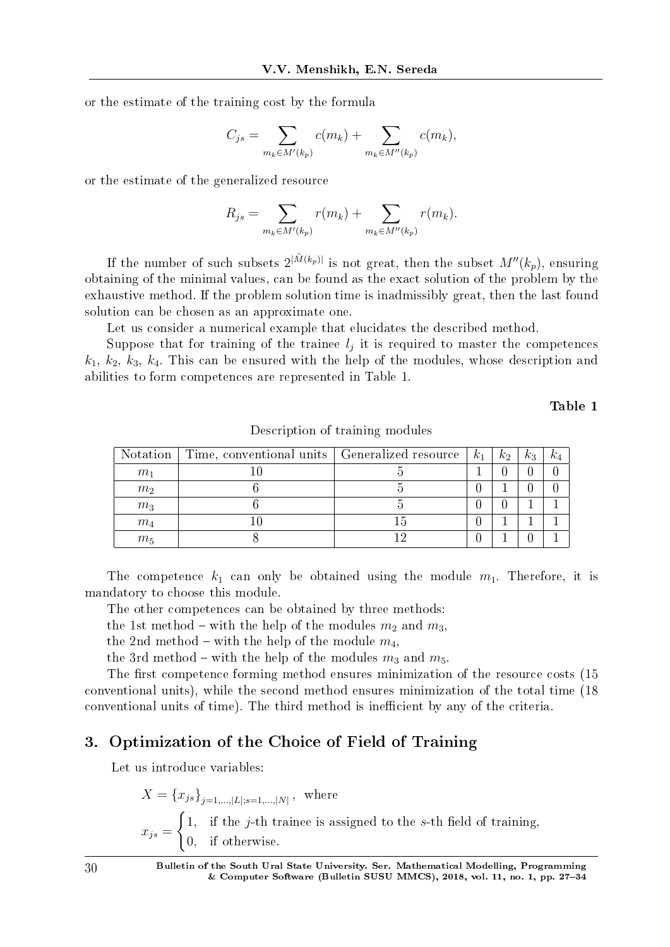or the estimate of the training cost by the formula

$$
C_{js} = \sum_{m_k \in M'(k_p)} c(m_k) + \sum_{m_k \in M''(k_p)} c(m_k),
$$

or the estimate of the generalized resource

$$
R_{js} = \sum_{m_k \in M'(k_p)} r(m_k) + \sum_{m_k \in M''(k_p)} r(m_k).
$$

If the number of such subsets  $2^{|\tilde{M}(k_p)|}$  is not great, then the subset  $M''(k_p)$ , ensuring obtaining of the minimal values, can be found as the exact solution of the problem by the exhaustive method. If the problem solution time is inadmissibly great, then the last found solution can be chosen as an approximate one.

Let us consider a numerical example that elucidates the described method.

Suppose that for training of the trainee  $l_j$  it is required to master the competences *k*1, *k*2, *k*3, *k*4. This can be ensured with the help of the modules, whose description and abilities to form competences are represented in Table 1.

Table 1

| Notation       | Time, conventional units   Generalized resource | $k_1$ | $k_2$ | $k_3$            | $k_4$ |
|----------------|-------------------------------------------------|-------|-------|------------------|-------|
| m <sub>1</sub> |                                                 |       |       | 0                |       |
| m <sub>2</sub> |                                                 |       |       | 0                |       |
| m <sub>3</sub> |                                                 |       |       |                  |       |
| $m_4$          |                                                 |       |       |                  |       |
| $m_5$          |                                                 |       |       | $\left( \right)$ |       |

Description of training modules

The competence  $k_1$  can only be obtained using the module  $m_1$ . Therefore, it is mandatory to choose this module.

The other competences can be obtained by three methods:

the 1st method – with the help of the modules  $m_2$  and  $m_3$ ,

the 2nd method – with the help of the module  $m_4$ ,

the 3rd method – with the help of the modules  $m_3$  and  $m_5$ .

The first competence forming method ensures minimization of the resource costs (15 conventional units), while the second method ensures minimization of the total time (18 conventional units of time). The third method is inefficient by any of the criteria.

## 3. Optimization of the Choice of Field of Training

Let us introduce variables:

$$
X = \{x_{js}\}_{j=1,\dots,|L|; s=1,\dots,|N|}
$$
, where  

$$
x_{js} = \begin{cases} 1, & \text{if the } j\text{-th triangle is assigned to the } s\text{-th field of training,} \\ 0, & \text{if otherwise.} \end{cases}
$$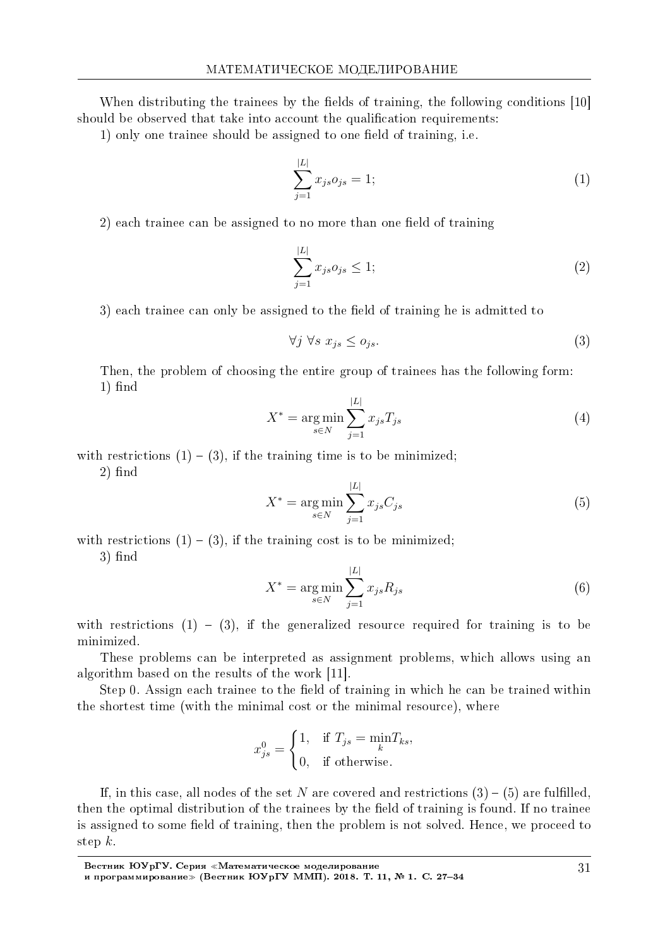When distributing the trainees by the fields of training, the following conditions  $[10]$ should be observed that take into account the qualification requirements:

1) only one trainee should be assigned to one field of training, i.e.

$$
\sum_{j=1}^{|L|} x_{js} o_{js} = 1; \tag{1}
$$

2) each trainee can be assigned to no more than one field of training

$$
\sum_{j=1}^{|L|} x_{js} o_{js} \le 1; \tag{2}
$$

3) each trainee can only be assigned to the field of training he is admitted to

$$
\forall j \,\,\forall s \,\, x_{js} \leq o_{js}.\tag{3}
$$

Then, the problem of choosing the entire group of trainees has the following form:  $1)$  find

$$
X^* = \underset{s \in N}{\text{arg min}} \sum_{j=1}^{|L|} x_{js} T_{js} \tag{4}
$$

with restrictions  $(1) - (3)$ , if the training time is to be minimized;

 $2)$  find

$$
X^* = \underset{s \in N}{\text{arg min}} \sum_{j=1}^{|L|} x_{js} C_{js} \tag{5}
$$

with restrictions  $(1) - (3)$ , if the training cost is to be minimized;

 $3)$  find

$$
X^* = \underset{s \in N}{\text{arg min}} \sum_{j=1}^{|L|} x_{js} R_{js} \tag{6}
$$

with restrictions  $(1) - (3)$ , if the generalized resource required for training is to be minimized.

These problems can be interpreted as assignment problems, which allows using an algorithm based on the results of the work [11].

Step 0. Assign each trainee to the field of training in which he can be trained within the shortest time (with the minimal cost or the minimal resource), where

$$
x_{js}^{0} = \begin{cases} 1, & \text{if } T_{js} = \min_{k} T_{ks}, \\ 0, & \text{if otherwise.} \end{cases}
$$

If, in this case, all nodes of the set *N* are covered and restrictions  $(3) - (5)$  are fulfilled, then the optimal distribution of the trainees by the field of training is found. If no trainee is assigned to some field of training, then the problem is not solved. Hence, we proceed to step *k*.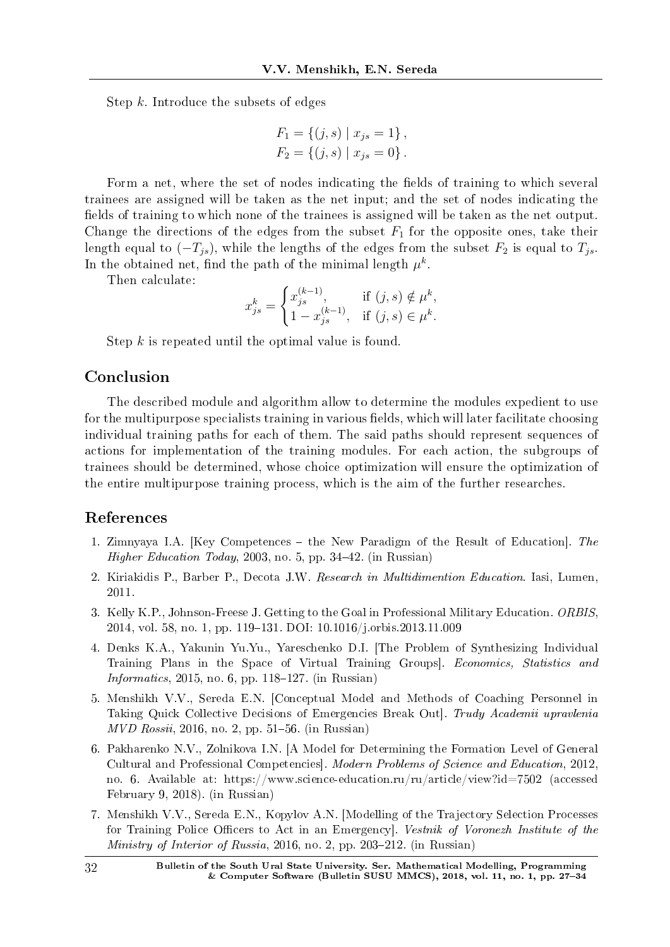Step *k*. Introduce the subsets of edges

$$
F_1 = \{(j, s) | x_{js} = 1\},
$$
  

$$
F_2 = \{(j, s) | x_{js} = 0\}.
$$

Form a net, where the set of nodes indicating the fields of training to which several trainees are assigned will be taken as the net input; and the set of nodes indicating the fields of training to which none of the trainees is assigned will be taken as the net output. Change the directions of the edges from the subset  $F_1$  for the opposite ones, take their length equal to  $(-T_{js})$ , while the lengths of the edges from the subset  $F_2$  is equal to  $T_{js}$ . In the obtained net, find the path of the minimal length  $\mu^k$ .

Then calculate:

$$
x_{js}^k=\begin{cases}x_{js}^{(k-1)},&\text{if }(j,s)\notin\mu^k,\\1-x_{js}^{(k-1)},&\text{if }(j,s)\in\mu^k.\end{cases}
$$

Step *k* is repeated until the optimal value is found.

# Conclusion

The described module and algorithm allow to determine the modules expedient to use for the multipurpose specialists training in various fields, which will later facilitate choosing individual training paths for each of them. The said paths should represent sequences of actions for implementation of the training modules. For each action, the subgroups of trainees should be determined, whose choice optimization will ensure the optimization of the entire multipurpose training process, which is the aim of the further researches.

### References

- 1. Zimnyaya I.A. [Key Competences the New Paradigm of the Result of Education]. The Higher Education Today, 2003, no. 5, pp. 34-42. (in Russian)
- 2. Kiriakidis P., Barber P., Decota J.W. Research in Multidimention Education. Iasi, Lumen, 2011.
- 3. Kelly K.P., Johnson-Freese J. Getting to the Goal in Professional Military Education. ORBIS, 2014, vol. 58, no. 1, pp. 119–131. DOI: 10.1016/j.orbis.2013.11.009
- 4. Denks K.A., Yakunin Yu.Yu., Yareschenko D.I. [The Problem of Synthesizing Individual Training Plans in the Space of Virtual Training Groups]. Economics, Statistics and Informatics, 2015, no. 6, pp. 118–127. (in Russian)
- 5. Menshikh V.V., Sereda E.N. [Conceptual Model and Methods of Coaching Personnel in Taking Quick Collective Decisions of Emergencies Break Out]. Trudy Academii upravlenia  $MVD Rossii, 2016, no. 2, pp. 51–56. (in Russian)$
- 6. Pakharenko N.V., Zolnikova I.N. [A Model for Determining the Formation Level of General Cultural and Professional Competencies]. Modern Problems of Science and Education, 2012, no. 6. Available at: https://www.science-education.ru/ru/article/view?id=7502 (accessed February 9, 2018). (in Russian)
- 7. Menshikh V.V., Sereda E.N., Kopylov A.N. [Modelling of the Trajectory Selection Processes for Training Police Officers to Act in an Emergency. Vestnik of Voronezh Institute of the *Ministry of Interior of Russia*, 2016, no. 2, pp. 203–212. (in Russian)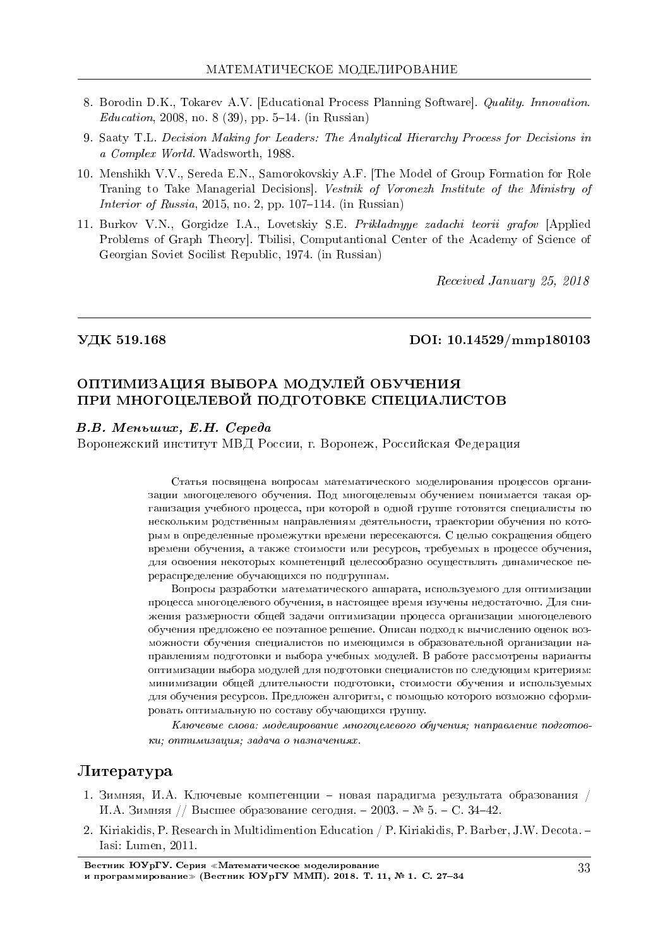- 8. Borodin D.K., Tokarev A.V. [Educational Process Planning Software]. Quality. Innovation.  $Education, 2008, no. 8 (39), pp. 5-14. (in Russian)$
- 9. Saaty T.L. Decision Making for Leaders: The Analytical Hierarchy Process for Decisions in a Complex World. Wadsworth, 1988.
- 10. Menshikh V.V., Sereda E.N., Samorokovskiy A.F. [The Model of Group Formation for Role Traning to Take Managerial Decisions]. Vestnik of Voronezh Institute of the Ministry of Interior of Russia, 2015, no. 2, pp. 107–114. (in Russian)
- 11. Burkov V.N., Gorgidze I.A., Lovetskiy S.E. Prikladnyye zadachi teorii grafov [Applied Problems of Graph Theory]. Tbilisi, Computantional Center of the Academy of Science of Georgian Soviet Socilist Republic, 1974. (in Russian)

Received January 25, 2018

#### ÓÄÊ 519.168 DOI: 10.14529/mmp180103

# ОПТИМИЗАЦИЯ ВЫБОРА МОДУЛЕЙ ОБУЧЕНИЯ ПРИ МНОГОЦЕЛЕВОЙ ПОДГОТОВКЕ СПЕЦИАЛИСТОВ

## $B.B.$  Меньших, Е.Н. Середа

Воронежский институт МВД России, г. Воронеж, Российская Федерация

Статья посвящена вопросам математического моделирования процессов организации многоцелевого обучения. Под многоцелевым обучением понимается такая организация учебного процесса, при которой в одной группе готовятся специалисты по нескольким родственным направлениям деятельности, траектории обучения по которым в определенные промежутки времени пересекаются. С целью сокращения общего времени обучения, а также стоимости или ресурсов, требуемых в процессе обучения, для освоения некоторых компетенций целесообразно осуществлять динамическое перераспределение обучающихся по подгруппам.

Вопросы разработки математического аппарата, используемого для оптимизации процесса многоцелевого обучения, в настоящее время изучены недостаточно. Для снижения размерности общей задачи оптимизации процесса организации многоцелевого обучения предложено ее поэтапное решение. Описан подход к вычислению оценок возможности обучения специалистов по имеющимся в образовательной организации направлениям подготовки и выбора учебных модулей. В работе рассмотрены варианты оптимизации выбора модулей для подготовки специалистов по следующим критериям: минимизации общей длительности подготовки, стоимости обучения и используемых для обучения ресурсов. Предложен алгоритм, с помощью которого возможно сформировать оптимальную по составу обучающихся группу.

 $K$ лючевые слова: моделирование многоцелевого обучения; направление подготов $ku$ ; оптимизация; задача о назначениях.

## $J$ <sub>*M*Teparypa</sub>

- 1. Зимняя, И.А. Ключевые компетенции новая парадигма результата образования / И.А. Зимняя // Высшее образование сегодня. - 2003. – № 5. - С. 34-42.
- 2. Kiriakidis, P. Research in Multidimention Education / P. Kiriakidis, P. Barber, J.W. Decota. Iasi: Lumen, 2011.